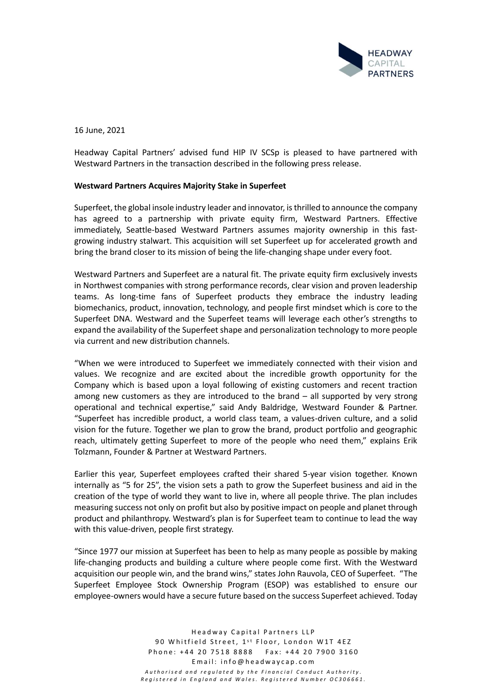

16 June, 2021

Headway Capital Partners' advised fund HIP IV SCSp is pleased to have partnered with Westward Partners in the transaction described in the following press release.

## **Westward Partners Acquires Majority Stake in Superfeet**

Superfeet, the global insole industry leader and innovator, is thrilled to announce the company has agreed to a partnership with private equity firm, Westward Partners. Effective immediately, Seattle-based Westward Partners assumes majority ownership in this fastgrowing industry stalwart. This acquisition will set Superfeet up for accelerated growth and bring the brand closer to its mission of being the life-changing shape under every foot.

Westward Partners and Superfeet are a natural fit. The private equity firm exclusively invests in Northwest companies with strong performance records, clear vision and proven leadership teams. As long-time fans of Superfeet products they embrace the industry leading biomechanics, product, innovation, technology, and people first mindset which is core to the Superfeet DNA. Westward and the Superfeet teams will leverage each other's strengths to expand the availability of the Superfeet shape and personalization technology to more people via current and new distribution channels.

"When we were introduced to Superfeet we immediately connected with their vision and values. We recognize and are excited about the incredible growth opportunity for the Company which is based upon a loyal following of existing customers and recent traction among new customers as they are introduced to the brand – all supported by very strong operational and technical expertise," said Andy Baldridge, Westward Founder & Partner. "Superfeet has incredible product, a world class team, a values-driven culture, and a solid vision for the future. Together we plan to grow the brand, product portfolio and geographic reach, ultimately getting Superfeet to more of the people who need them," explains Erik Tolzmann, Founder & Partner at Westward Partners.

Earlier this year, Superfeet employees crafted their shared 5-year vision together. Known internally as "5 for 25", the vision sets a path to grow the Superfeet business and aid in the creation of the type of world they want to live in, where all people thrive. The plan includes measuring success not only on profit but also by positive impact on people and planet through product and philanthropy. Westward's plan is for Superfeet team to continue to lead the way with this value-driven, people first strategy.

"Since 1977 our mission at Superfeet has been to help as many people as possible by making life-changing products and building a culture where people come first. With the Westward acquisition our people win, and the brand wins," states John Rauvola, CEO of Superfeet. "The Superfeet Employee Stock Ownership Program (ESOP) was established to ensure our employee-owners would have a secure future based on the success Superfeet achieved. Today

> Headway Capital Partners LLP 90 Whitfield Street, 1<sup>st</sup> Floor, London W1T 4EZ Phone: +44 20 7518 8888 Fax: +44 20 7900 3160 Email: info@headwaycap.com *A u t h o r i s e d a n d r e g u l a t e d b y t h e F i n a n c i a l C o n d u c t A u t h o r i t y . Registered in England and Wales. Registered Number OC306661.*